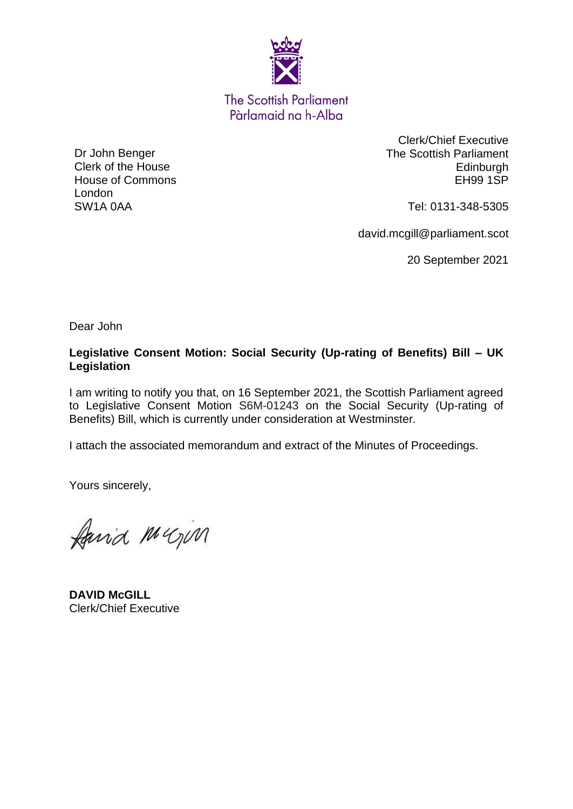

**The Scottish Parliament** Pàrlamaid na h-Alba

Dr John Benger Clerk of the House House of Commons London SW1A 0AA

Clerk/Chief Executive The Scottish Parliament **Edinburgh** EH99 1SP

Tel: 0131-348-5305

david.mcgill@parliament.scot

20 September 2021

Dear John

### **Legislative Consent Motion: Social Security (Up-rating of Benefits) Bill – UK Legislation**

I am writing to notify you that, on 16 September 2021, the Scottish Parliament agreed to Legislative Consent Motion S6M-01243 on the Social Security (Up-rating of Benefits) Bill, which is currently under consideration at Westminster.

I attach the associated memorandum and extract of the Minutes of Proceedings.

Yours sincerely,

faired Mugica

**DAVID McGILL** Clerk/Chief Executive